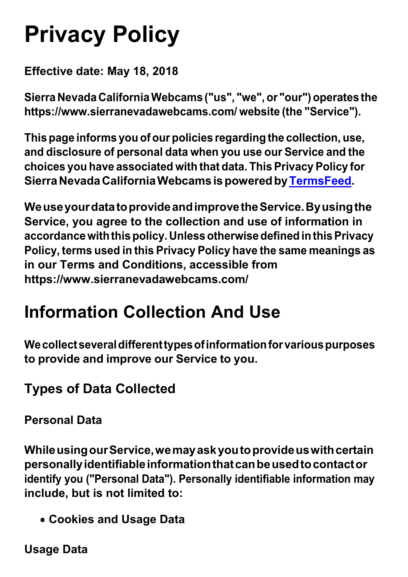## **Privacy Policy**

**Effective date: May 18, 2018**

**Sierra Nevada CaliforniaWebcams ("us", "we", or "our") operates the https:/[/www.sierranevadawebcams.com/](http://www.sierranevadawebcams.com/) website (the "Service").**

**Thispage informs you of our policies regarding the collection, use, and disclosure of personal data when you use our Service and the choices you have associated with that data. This Privacy Policy for SierraNevadaCaliforniaWebcamsispoweredby[TermsFeed.](https://termsfeed.com/)**

**WeuseyourdatatoprovideandimprovetheService.Byusingthe Service, you agree to the collection and use of information in accordancewiththispolicy.Unlessotherwisedefined inthisPrivacy Policy, terms used in this Privacy Policy have the same meanings as in our Terms and Conditions, accessible from https:/[/www.sierranevadawebcams.com/](http://www.sierranevadawebcams.com/)**

#### **Information Collection And Use**

**Wecollectseveraldifferenttypesofinformationforvariouspurposes to provide and improve our Service to you.**

#### **Types of Data Collected**

**Personal Data**

**WhileusingourService,wemayaskyoutoprovideuswithcertain personallyidentifiableinformationthatcanbeusedtocontactor identify you ("Personal Data"). Personally identifiable information may include, but is not limited to:**

**Cookies and Usage Data**

**Usage Data**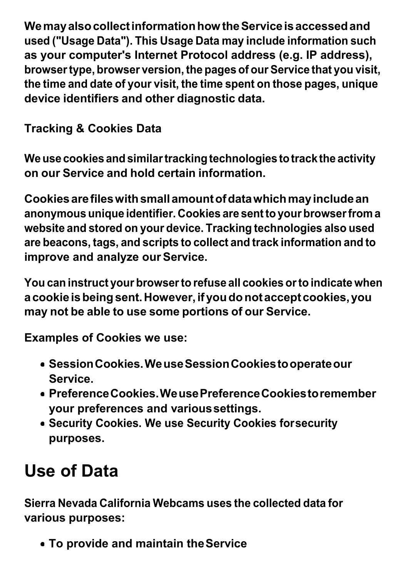**WemayalsocollectinformationhowtheServiceisaccessedand used ("Usage Data"). This Usage Data may include information such as your computer's Internet Protocol address (e.g. IP address), browsertype, browser version, the pages of our Service that you visit, the time and date of your visit, the time spent on those pages, unique device identifiers and other diagnostic data.**

**Tracking & Cookies Data**

**Weuse cookies and similartrackingtechnologies totrackthe activity on our Service and hold certain information.**

**Cookiesarefileswithsmallamountofdatawhichmayincludean anonymous unique identifier. Cookies are sentto your browserfrom a website and stored on your device. Tracking technologies also used are beacons, tags, and scripts to collect and track information and to improve and analyze ourService.**

**You can instruct your browserto refuse all cookies orto indicate when acookie isbeingsent.However,ifyoudonotacceptcookies,you may not be able to use some portions of our Service.**

**Examples of Cookies we use:**

- **SessionCookies.WeuseSessionCookiestooperateour Service.**
- **PreferenceCookies.WeusePreferenceCookiestoremember your preferences and varioussettings.**
- **Security Cookies. We use Security Cookies forsecurity purposes.**

### **Use of Data**

**Sierra Nevada California Webcams uses the collected data for various purposes:**

**To provide and maintain theService**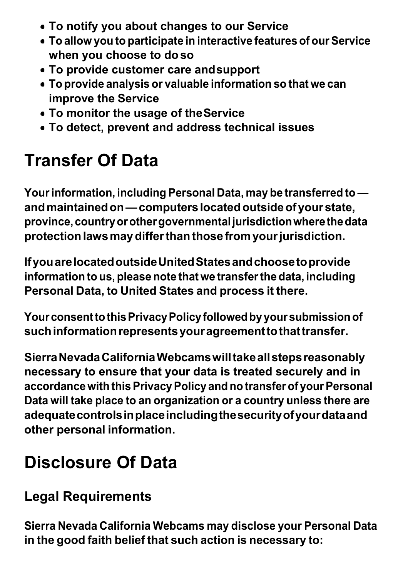- **To notify you about changes to our Service**
- **To allow you to participate in interactive features of our Service when you choose to doso**
- **To provide customer care andsupport**
- **To provide analysis or valuable information so that we can improve the Service**
- **To monitor the usage of theService**
- **To detect, prevent and address technical issues**

### **Transfer Of Data**

**Yourinformation, including Personal Data, may be transferred to andmaintainedon—computerslocatedoutsideofyourstate, province,countryorothergovernmentaljurisdictionwherethedata protectionlawsmaydifferthanthose fromyourjurisdiction.**

**IfyouarelocatedoutsideUnitedStatesandchoosetoprovide information to us, please note that we transferthe data, including Personal Data, to United States and process it there.**

**YourconsenttothisPrivacyPolicyfollowedbyyoursubmissionof suchinformationrepresentsyouragreementtothattransfer.**

**SierraNevadaCaliforniaWebcamswilltakeallstepsreasonably necessary to ensure that your data is treated securely and in accordancewith thisPrivacyPolicy and no transfer of yourPersonal Data will take place to an organization or a country unless there are adequatecontrolsinplaceincludingthesecurityofyourdataand other personal information.**

#### **Disclosure Of Data**

#### **Legal Requirements**

**Sierra Nevada California Webcams may disclose your Personal Data in the good faith belief that such action is necessary to:**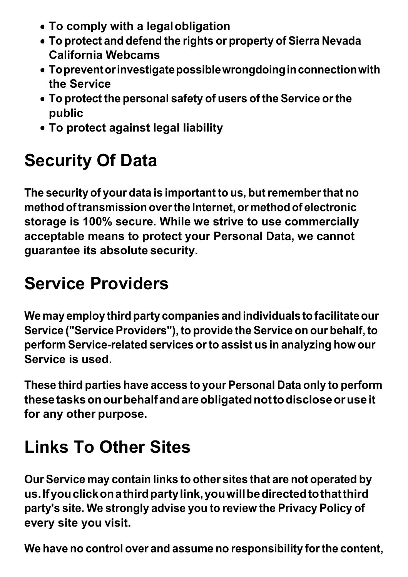- **To comply with a legalobligation**
- **To protect and defend the rights or property of Sierra Nevada California Webcams**
- **Topreventorinvestigatepossiblewrongdoinginconnectionwith the Service**
- **To protect the personal safety of users of the Service orthe public**
- **To protect against legal liability**

### **Security Of Data**

**The security of your data is important to us, butrememberthat no methodoftransmission overthe Internet,or methodof electronic storage is 100% secure. While we strive to use commercially acceptable means to protect your Personal Data, we cannot guarantee its absolute security.**

### **Service Providers**

**We may employ third party companies and individuals to facilitateour Service ("ServiceProviders"),to provide the Service on our behalf,to perform Service-related services orto assist us in analyzing how our Service is used.**

**These third parties have access to your Personal Data only to perform thesetasksonourbehalfandareobligatednottodiscloseoruseit for any other purpose.**

### **Links To Other Sites**

**Our Service may contain links to other sites that are not operated by us.Ifyouclickonathirdpartylink,youwillbedirectedtothatthird party's site. We strongly advise you to review the Privacy Policy of every site you visit.**

**We have no control over and assume no responsibility forthe content,**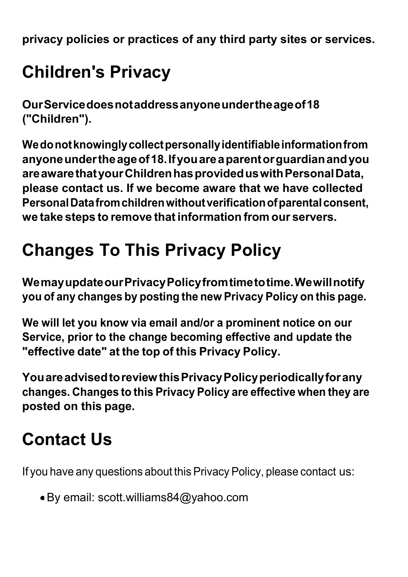**privacy policies or practices of any third party sites or services.**

### **Children's Privacy**

**OurServicedoesnotaddressanyoneundertheageof18 ("Children").**

**Wedonotknowinglycollectpersonallyidentifiableinformationfrom anyoneundertheageof18.Ifyouareaparentorguardianandyou areawarethatyourChildrenhasprovideduswithPersonalData, please contact us. If we become aware that we have collected PersonalDatafromchildrenwithoutverificationofparentalconsent, we take steps to remove that information from our servers.**

### **Changes To This Privacy Policy**

**WemayupdateourPrivacyPolicyfromtimetotime.Wewillnotify you of any changes by posting the new Privacy Policy on this page.**

**We will let you know via email and/or a prominent notice on our Service, prior to the change becoming effective and update the "effective date" at the top of this Privacy Policy.**

**YouareadvisedtoreviewthisPrivacyPolicyperiodicallyforany changes. Changes to this Privacy Policy are effective when they are posted on this page.**

### **Contact Us**

If you have any questions about this Privacy Policy, please contact us:

By email: [scott.williams84@yahoo.com](mailto:scott.williams84@yahoo.com)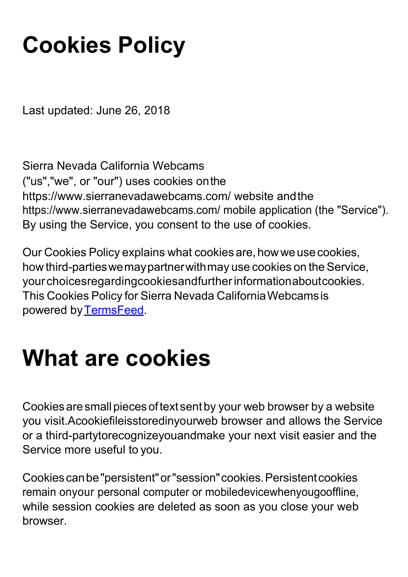### **Cookies Policy**

Last updated: June 26, 2018

Sierra Nevada California Webcams ("us","we", or "our") uses cookies onthe https:/[/www.sierranevadawebcams.com/ w](http://www.sierranevadawebcams.com/)ebsite andthe https:/[/www.sierranevadawebcams.com/ m](http://www.sierranevadawebcams.com/)obile application (the "Service"). By using the Service, you consent to the use of cookies.

Our Cookies Policy explains what cookies are, how we use cookies, how third-parties we may partner with may use cookies on the Service, yourchoicesregardingcookiesandfurtherinformationaboutcookies. This Cookies Policy for Sierra Nevada CaliforniaWebcamsis powered by TermsFeed.

### **What are cookies**

Cookies are small pieces of text sent by your web browser by a website you visit.Acookiefileisstoredinyourweb browser and allows the Service or a third-partytorecognizeyouandmake your next visit easier and the Service more useful to you.

Cookiescanbe"persistent"or"session"cookies.Persistentcookies remain onyour personal computer or mobiledevicewhenyougooffline, while session cookies are deleted as soon as you close your web browser.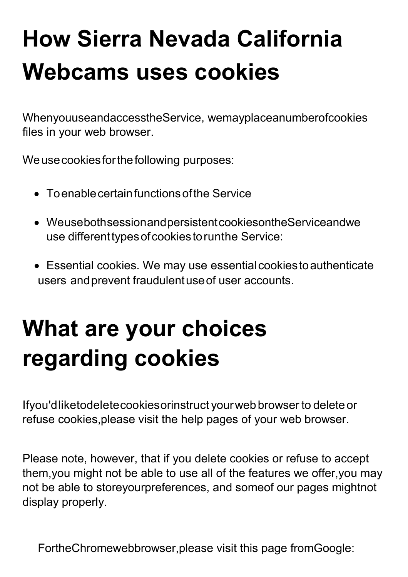# **How Sierra Nevada California Webcams uses cookies**

WhenyouuseandaccesstheService, wemayplaceanumberofcookies files in your web browser.

We use cookies for the following purposes:

- To enable certain functions of the Service
- WeusebothsessionandpersistentcookiesontheServiceandwe use differenttypesofcookiestorunthe Service:
- Essential cookies. We may use essential cookies to authenticate users andprevent fraudulentuseof user accounts.

# **What are your choices regarding cookies**

Ifyou'dliketodeletecookiesorinstruct yourwebbrowser to delete or refuse cookies,please visit the help pages of your web browser.

Please note, however, that if you delete cookies or refuse to accept them,you might not be able to use all of the features we offer,you may not be able to storeyourpreferences, and someof our pages mightnot display properly.

FortheChromewebbrowser,please visit this page fromGoogle: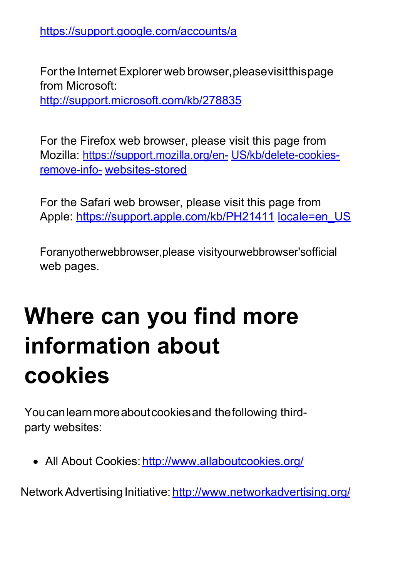[https://support.google.com/accounts/a](https://support.google.com/accounts/answer/32050)

Forthe Internet Explorer web browser,pleasevisitthispage from Microsoft: <http://support.microsoft.com/kb/278835>

For the Firefox web browser, please visit this page from Mozilla: [https://support.mozilla.org/en-](https://support.mozilla.org/en-US/kb/delete-cookies-remove-info-websites-stored) US/kb/delete-cookies[remove-info-](https://support.mozilla.org/en-US/kb/delete-cookies-remove-info-websites-stored) [websites-stored](https://support.mozilla.org/en-US/kb/delete-cookies-remove-info-websites-stored)

For the Safari web browser, please visit this page from Apple: [https://support.apple.com/kb/PH21411](https://support.apple.com/kb/PH21411?locale=en_US) locale=en\_US

Foranyotherwebbrowser,please visityourwebbrowser'sofficial web pages.

## **Where can you find more information about cookies**

Youcanlearnmoreaboutcookiesand thefollowing thirdparty websites:

• All About Cookies: http://www.allaboutcookies.org/

Network Advertising Initiative: <http://www.networkadvertising.org/>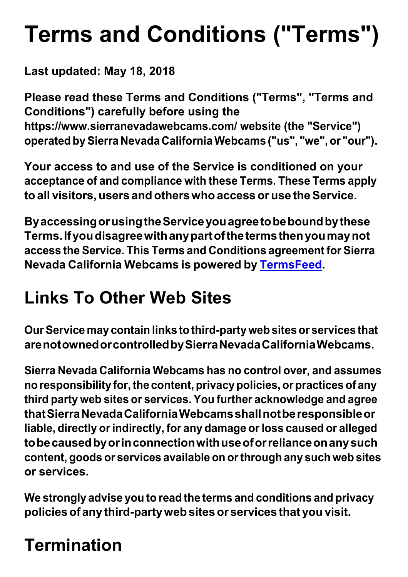# **Terms and Conditions ("Terms")**

**Last updated: May 18, 2018**

**Please read these Terms and Conditions ("Terms", "Terms and Conditions") carefully before using the https:/[/www.sierranevadawebcams.com/ w](http://www.sierranevadawebcams.com/)ebsite (the "Service") operated bySierra Nevada CaliforniaWebcams ("us", "we",or "our").**

**Your access to and use of the Service is conditioned on your acceptance of and compliance with these Terms. These Terms apply to all visitors,users and otherswho access or use theService.**

**ByaccessingorusingtheServiceyouagreetobeboundbythese Terms.Ifyoudisagreewithanypartofthetermsthenyoumaynot access the Service. This Terms and Conditions agreement for Sierra Nevada California Webcams is powered by [TermsFeed.](https://termsfeed.com/)**

### **Links To Other Web Sites**

**OurService may contain links to third-party web sitesor services that arenotownedorcontrolledbySierraNevadaCaliforniaWebcams.**

**Sierra Nevada California Webcams has no control over, and assumes noresponsibility for,the content,privacypolicies, or practices of any third party web sites or services. You further acknowledge and agree thatSierraNevadaCaliforniaWebcamsshallnotberesponsibleor liable, directly orindirectly, for any damage orloss caused or alleged tobecausedbyorinconnectionwithuseoforrelianceonanysuch content, goods or services available on orthrough any such web sites or services.**

**We strongly advise you to read the terms and conditions and privacy policiesof any third-partywebsitesor services that you visit.**

### **Termination**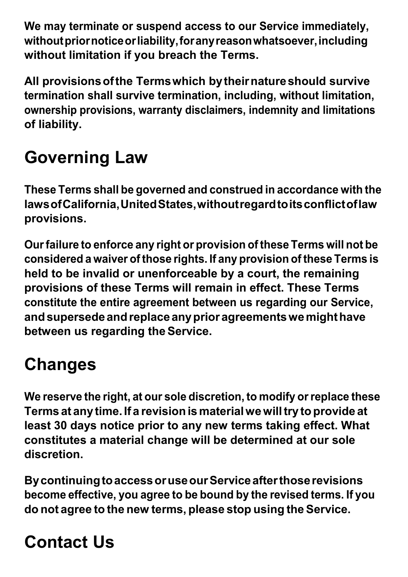**We may terminate or suspend access to our Service immediately, withoutpriornoticeorliability,foranyreasonwhatsoever,including without limitation if you breach the Terms.**

**All provisionsofthe Termswhich bytheirnatureshould survive termination shall survive termination, including, without limitation, ownership provisions, warranty disclaimers, indemnity and limitations of liability.**

### **Governing Law**

**These Terms shall be governed and construed in accordance with the lawsofCalifornia,UnitedStates,withoutregardtoitsconflictoflaw provisions.**

**Ourfailure to enforce any right or provision of these Terms will not be considered a waiver of those rights. If any provision of these Terms is held to be invalid or unenforceable by a court, the remaining provisions of these Terms will remain in effect. These Terms constitute the entire agreement between us regarding our Service, andsupersedeandreplace anyprior agreementswemighthave between us regarding theService.**

### **Changes**

**We reserve the right, at our sole discretion, to modify orreplace these Terms at any time. If a revisionismaterialwewilltry toprovide at least 30 days notice prior to any new terms taking effect. What constitutes a material change will be determined at our sole discretion.**

**BycontinuingtoaccessoruseourServiceafterthoserevisions become effective, you agree to be bound by the revised terms. If you do not agree to the new terms, please stop using the Service.**

### **Contact Us**